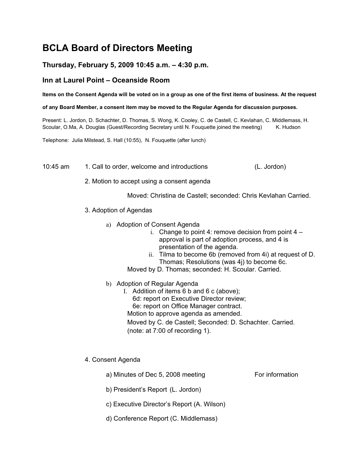# **BCLA Board of Directors Meeting**

# **Thursday, February 5, 2009 10:45 a.m. – 4:30 p.m.**

# **Inn at Laurel Point – Oceanside Room**

**Items on the Consent Agenda will be voted on in a group as one of the first items of business. At the request**

#### **of any Board Member, a consent item may be moved to the Regular Agenda for discussion purposes.**

Present: L. Jordon, D. Schachter, D. Thomas, S. Wong, K. Cooley, C. de Castell, C. Kevlahan, C. Middlemass, H. Scoular, O.Ma, A. Douglas (Guest/Recording Secretary until N. Fouguette joined the meeting) K. Hudson

Telephone: Julia Milstead, S. Hall (10:55), N. Fouquette (after lunch)

10:45 am 1. Call to order, welcome and introductions (L. Jordon)

2. Motion to accept using a consent agenda

Moved: Christina de Castell; seconded: Chris Kevlahan Carried.

- 3. Adoption of Agendas
	- a) Adoption of Consent Agenda
		- i. Change to point 4: remove decision from point  $4$ approval is part of adoption process, and 4 is presentation of the agenda.
		- ii. Tilma to become 6b (removed from 4i) at request of D. Thomas; Resolutions (was 4j) to become 6c.
		- Moved by D. Thomas; seconded: H. Scoular. Carried.
	- b) Adoption of Regular Agenda
		- I. Addition of items 6 b and 6 c (above); 6d: report on Executive Director review; 6e: report on Office Manager contract. Motion to approve agenda as amended. Moved by C. de Castell; Seconded: D. Schachter. Carried. (note: at 7:00 of recording 1).
- 4. Consent Agenda
	- a) Minutes of Dec 5, 2008 meeting For information
	- b) President's Report (L. Jordon)
	- c) Executive Director's Report (A. Wilson)
	- d) Conference Report (C. Middlemass)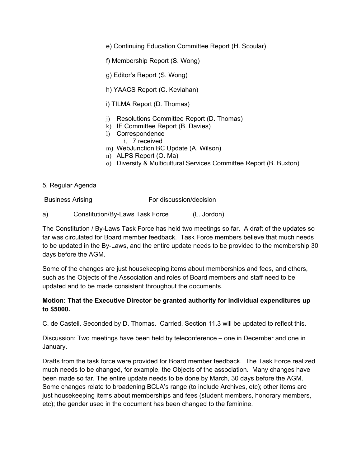e) Continuing Education Committee Report (H. Scoular)

f) Membership Report (S. Wong)

g) Editor's Report (S. Wong)

h) YAACS Report (C. Kevlahan)

i) TILMA Report (D. Thomas)

- j) Resolutions Committee Report (D. Thomas)
- k) IF Committee Report (B. Davies)
- l) Correspondence
	- i. 7 received
- m) WebJunction BC Update (A. Wilson)
- n) ALPS Report (O. Ma)
- o) Diversity & Multicultural Services Committee Report (B. Buxton)
- 5. Regular Agenda

Business Arising For discussion/decision

a) Constitution/By-Laws Task Force (L. Jordon)

The Constitution / By-Laws Task Force has held two meetings so far. A draft of the updates so far was circulated for Board member feedback. Task Force members believe that much needs to be updated in the By-Laws, and the entire update needs to be provided to the membership 30 days before the AGM.

Some of the changes are just housekeeping items about memberships and fees, and others, such as the Objects of the Association and roles of Board members and staff need to be updated and to be made consistent throughout the documents.

#### **Motion: That the Executive Director be granted authority for individual expenditures up to \$5000.**

C. de Castell. Seconded by D. Thomas. Carried. Section 11.3 will be updated to reflect this.

Discussion: Two meetings have been held by teleconference – one in December and one in January.

Drafts from the task force were provided for Board member feedback. The Task Force realized much needs to be changed, for example, the Objects of the association. Many changes have been made so far. The entire update needs to be done by March, 30 days before the AGM. Some changes relate to broadening BCLA's range (to include Archives, etc); other items are just housekeeping items about memberships and fees (student members, honorary members, etc); the gender used in the document has been changed to the feminine.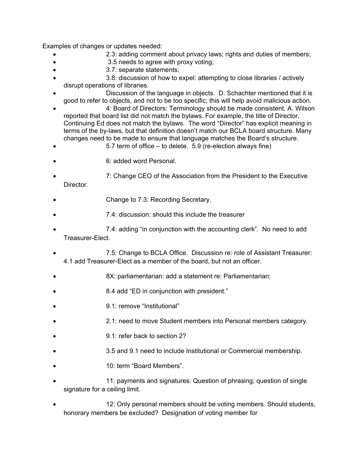Examples of changes or updates needed:

- 2.3: adding comment about privacy laws; rights and duties of members;
- 3.5 needs to agree with proxy voting;
- 3.7: separate statements;
- 3.8: discussion of how to expel: attempting to close libraries / actively disrupt operations of libraries.
- Discussion of the language in objects. D. Schachter mentioned that it is good to refer to objects, and not to be too specific; this will help avoid malicious action.
- 4: Board of Directors: Terminology should be made consistent. A. Wilson reported that board list did not match the bylaws. For example, the title of Director, Continuing Ed does not match the bylaws. The word "Director" has explicit meaning in terms of the by-laws, but that definition doesn't match our BCLA board structure. Many changes need to be made to ensure that language matches the Board's structure.
- 5.7 term of office to delete. 5.9 (re-election always fine)
- 6: added word Personal.
- 7: Change CEO of the Association from the President to the Executive Director.
- Change to 7.3: Recording Secretary.
- 7.4: discussion: should this include the treasurer
- 7.4: adding "in conjunction with the accounting clerk". No need to add Treasurer-Elect.
- 7.5: Change to BCLA Office. Discussion re: role of Assistant Treasurer: 4.1 add Treasurer-Elect as a member of the board, but not an officer.
- 8X: parliamentarian: add a statement re: Parliamentarian;
- 8.4 add "ED in conjunction with president."
- 9.1: remove "Institutional"
- 2.1: need to move Student members into Personal members category.
- 9.1: refer back to section 2?
- 3.5 and 9.1 need to include Institutional or Commercial membership.
- 10: term "Board Members".
- 11: payments and signatures: Question of phrasing; question of single signature for a ceiling limit.
- 12: Only personal members should be voting members. Should students, honorary members be excluded? Designation of voting member for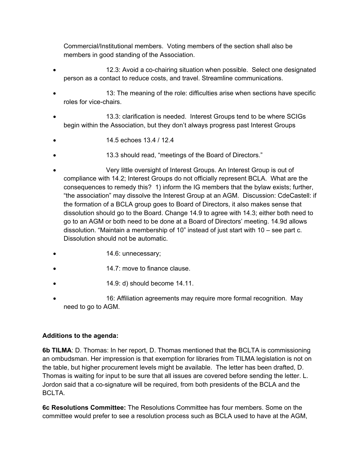Commercial/Institutional members. Voting members of the section shall also be members in good standing of the Association.

- 12.3: Avoid a co-chairing situation when possible. Select one designated person as a contact to reduce costs, and travel. Streamline communications.
- 13: The meaning of the role: difficulties arise when sections have specific roles for vice-chairs.
- 13.3: clarification is needed. Interest Groups tend to be where SCIGs begin within the Association, but they don't always progress past Interest Groups
- 14.5 echoes 13.4 / 12.4
- 13.3 should read, "meetings of the Board of Directors."
- Very little oversight of Interest Groups. An Interest Group is out of compliance with 14.2; Interest Groups do not officially represent BCLA. What are the consequences to remedy this? 1) inform the IG members that the bylaw exists; further, "the association" may dissolve the Interest Group at an AGM. Discussion: CdeCastell: if the formation of a BCLA group goes to Board of Directors, it also makes sense that dissolution should go to the Board. Change 14.9 to agree with 14.3; either both need to go to an AGM or both need to be done at a Board of Directors' meeting. 14.9d allows dissolution. "Maintain a membership of 10" instead of just start with 10 – see part c. Dissolution should not be automatic.
- 14.6: unnecessary;
- 14.7: move to finance clause.
- 14.9: d) should become 14.11.
- 16: Affiliation agreements may require more formal recognition. May need to go to AGM.

## **Additions to the agenda:**

**6b TILMA**: D. Thomas: In her report, D. Thomas mentioned that the BCLTA is commissioning an ombudsman. Her impression is that exemption for libraries from TILMA legislation is not on the table, but higher procurement levels might be available. The letter has been drafted, D. Thomas is waiting for input to be sure that all issues are covered before sending the letter. L. Jordon said that a co-signature will be required, from both presidents of the BCLA and the BCLTA.

**6c Resolutions Committee:** The Resolutions Committee has four members. Some on the committee would prefer to see a resolution process such as BCLA used to have at the AGM,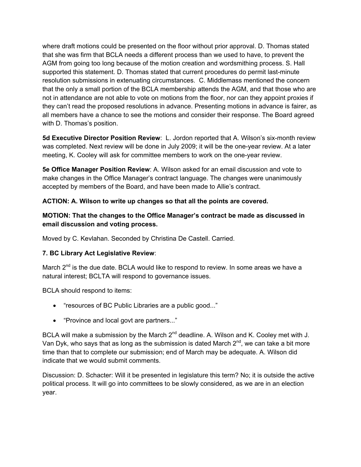where draft motions could be presented on the floor without prior approval. D. Thomas stated that she was firm that BCLA needs a different process than we used to have, to prevent the AGM from going too long because of the motion creation and wordsmithing process. S. Hall supported this statement. D. Thomas stated that current procedures do permit last-minute resolution submissions in extenuating circumstances. C. Middlemass mentioned the concern that the only a small portion of the BCLA membership attends the AGM, and that those who are not in attendance are not able to vote on motions from the floor, nor can they appoint proxies if they can't read the proposed resolutions in advance. Presenting motions in advance is fairer, as all members have a chance to see the motions and consider their response. The Board agreed with D. Thomas's position.

**5d Executive Director Position Review**: L. Jordon reported that A. Wilson's six-month review was completed. Next review will be done in July 2009; it will be the one-year review. At a later meeting, K. Cooley will ask for committee members to work on the one-year review.

**5e Office Manager Position Review**: A. Wilson asked for an email discussion and vote to make changes in the Office Manager's contract language. The changes were unanimously accepted by members of the Board, and have been made to Allie's contract.

# **ACTION: A. Wilson to write up changes so that all the points are covered.**

# **MOTION: That the changes to the Office Manager's contract be made as discussed in email discussion and voting process.**

Moved by C. Kevlahan. Seconded by Christina De Castell. Carried.

## **7. BC Library Act Legislative Review**:

March 2<sup>nd</sup> is the due date. BCLA would like to respond to review. In some areas we have a natural interest; BCLTA will respond to governance issues.

BCLA should respond to items:

- "resources of BC Public Libraries are a public good..."
- "Province and local govt are partners..."

BCLA will make a submission by the March  $2^{nd}$  deadline. A. Wilson and K. Cooley met with J. Van Dyk, who says that as long as the submission is dated March  $2^{nd}$ , we can take a bit more time than that to complete our submission; end of March may be adequate. A. Wilson did indicate that we would submit comments.

Discussion: D. Schacter: Will it be presented in legislature this term? No; it is outside the active political process. It will go into committees to be slowly considered, as we are in an election year.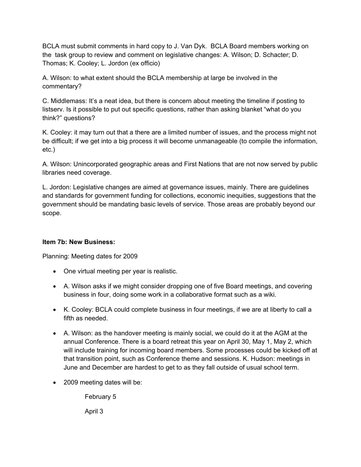BCLA must submit comments in hard copy to J. Van Dyk. BCLA Board members working on the task group to review and comment on legislative changes: A. Wilson; D. Schacter; D. Thomas; K. Cooley; L. Jordon (ex officio)

A. Wilson: to what extent should the BCLA membership at large be involved in the commentary?

C. Middlemass: It's a neat idea, but there is concern about meeting the timeline if posting to listserv. Is it possible to put out specific questions, rather than asking blanket "what do you think?" questions?

K. Cooley: it may turn out that a there are a limited number of issues, and the process might not be difficult; if we get into a big process it will become unmanageable (to compile the information, etc.)

A. Wilson: Unincorporated geographic areas and First Nations that are not now served by public libraries need coverage.

L. Jordon: Legislative changes are aimed at governance issues, mainly. There are guidelines and standards for government funding for collections, economic inequities, suggestions that the government should be mandating basic levels of service. Those areas are probably beyond our scope.

## **Item 7b: New Business:**

Planning: Meeting dates for 2009

- One virtual meeting per year is realistic.
- A. Wilson asks if we might consider dropping one of five Board meetings, and covering business in four, doing some work in a collaborative format such as a wiki.
- K. Cooley: BCLA could complete business in four meetings, if we are at liberty to call a fifth as needed.
- A. Wilson: as the handover meeting is mainly social, we could do it at the AGM at the annual Conference. There is a board retreat this year on April 30, May 1, May 2, which will include training for incoming board members. Some processes could be kicked off at that transition point, such as Conference theme and sessions. K. Hudson: meetings in June and December are hardest to get to as they fall outside of usual school term.
- 2009 meeting dates will be:

February 5

April 3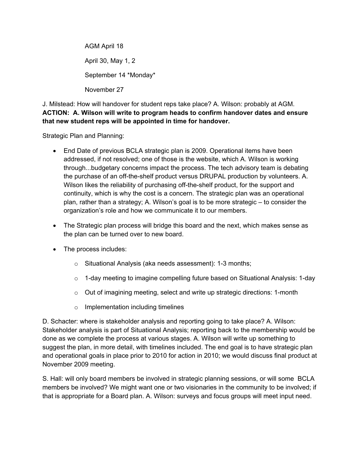AGM April 18 April 30, May 1, 2 September 14 \*Monday\* November 27

J. Milstead: How will handover for student reps take place? A. Wilson: probably at AGM. **ACTION: A. Wilson will write to program heads to confirm handover dates and ensure that new student reps will be appointed in time for handover.** 

Strategic Plan and Planning:

- End Date of previous BCLA strategic plan is 2009. Operational items have been addressed, if not resolved; one of those is the website, which A. Wilson is working through...budgetary concerns impact the process. The tech advisory team is debating the purchase of an off-the-shelf product versus DRUPAL production by volunteers. A. Wilson likes the reliability of purchasing off-the-shelf product, for the support and continuity, which is why the cost is a concern. The strategic plan was an operational plan, rather than a strategy; A. Wilson's goal is to be more strategic – to consider the organization's role and how we communicate it to our members.
- The Strategic plan process will bridge this board and the next, which makes sense as the plan can be turned over to new board.
- The process includes:
	- o Situational Analysis (aka needs assessment): 1-3 months;
	- $\circ$  1-day meeting to imagine compelling future based on Situational Analysis: 1-day
	- $\circ$  Out of imagining meeting, select and write up strategic directions: 1-month
	- o Implementation including timelines

D. Schacter: where is stakeholder analysis and reporting going to take place? A. Wilson: Stakeholder analysis is part of Situational Analysis; reporting back to the membership would be done as we complete the process at various stages. A. Wilson will write up something to suggest the plan, in more detail, with timelines included. The end goal is to have strategic plan and operational goals in place prior to 2010 for action in 2010; we would discuss final product at November 2009 meeting.

S. Hall: will only board members be involved in strategic planning sessions, or will some BCLA members be involved? We might want one or two visionaries in the community to be involved; if that is appropriate for a Board plan. A. Wilson: surveys and focus groups will meet input need.